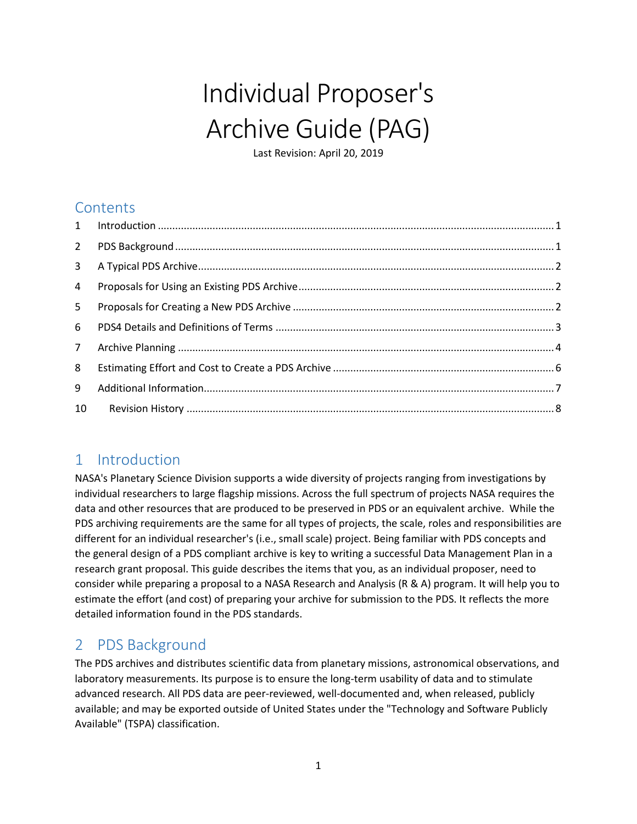# Individual Proposer's Archive Guide (PAG)

Last Revision: April 20, 2019

## **Contents**

| $2^{\circ}$    |  |
|----------------|--|
|                |  |
| $\overline{4}$ |  |
| 5 <sup>1</sup> |  |
| $6 -$          |  |
| $7^{\circ}$    |  |
| 8              |  |
| 9              |  |
| 10             |  |

## <span id="page-0-0"></span>1 Introduction

NASA's Planetary Science Division supports a wide diversity of projects ranging from investigations by individual researchers to large flagship missions. Across the full spectrum of projects NASA requires the data and other resources that are produced to be preserved in PDS or an equivalent archive. While the PDS archiving requirements are the same for all types of projects, the scale, roles and responsibilities are different for an individual researcher's (i.e., small scale) project. [Being familiar with PDS concepts and](https://pds.jpl.nasa.gov/pds4/doc/dph/current/PDS4_DataProvidersHandbook_20140901.pdf)  [the general design of a PDS compliant archive is key t](https://pds.jpl.nasa.gov/pds4/doc/dph/current/PDS4_DataProvidersHandbook_20140901.pdf)o writing a successful Data Management Plan in a research grant proposal. This guide describes the items that you, as an individual proposer, need to consider while preparing a proposal to a NASA Research and Analysis (R & A) program. It will help you to estimate the effort (and cost) of preparing your archive for submission to the PDS. It reflects the more detailed information found in the PDS standards.

## <span id="page-0-1"></span>2 PDS Background

The PDS archives and distributes scientific data from planetary missions, astronomical observations, and laboratory measurements. Its purpose is to ensure the long-term usability of data and to stimulate advanced research. All PDS data are peer-reviewed, well-documented and, when released, publicly available; and may be exported outside of United States under the "Technology and Software Publicly Available" (TSPA) classification.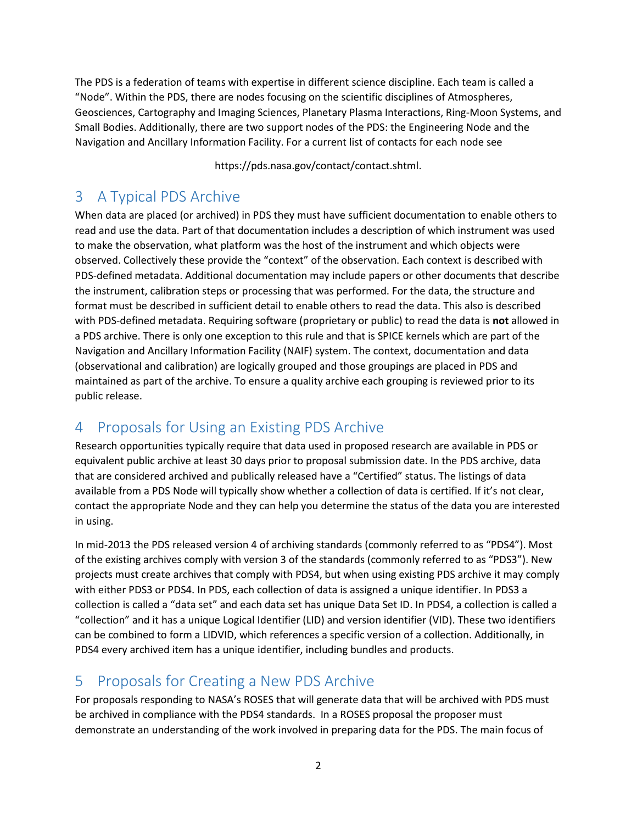The PDS is a federation of teams with expertise in different science discipline. Each team is called a "Node". Within the PDS, there are nodes focusing on the scientific disciplines of Atmospheres, Geosciences, Cartography and Imaging Sciences, Planetary Plasma Interactions, Ring-Moon Systems, and Small Bodies. Additionally, there are two support nodes of the PDS: the Engineering Node and the Navigation and Ancillary Information Facility. For a current list of contacts for each node see

[https://pds.nasa.gov/contact/contact.shtml.](https://pds.nasa.gov/contact/contact.shtml)

## <span id="page-1-0"></span>3 A Typical PDS Archive

When data are placed (or archived) in PDS they must have sufficient documentation to enable others to read and use the data. Part of that documentation includes a description of which instrument was used to make the observation, what platform was the host of the instrument and which objects were observed. Collectively these provide the "context" of the observation. Each context is described with PDS-defined metadata. Additional documentation may include papers or other documents that describe the instrument, calibration steps or processing that was performed. For the data, the structure and format must be described in sufficient detail to enable others to read the data. This also is described with PDS-defined metadata. Requiring software (proprietary or public) to read the data is **not** allowed in a PDS archive. There is only one exception to this rule and that is SPICE kernels which are part of the Navigation and Ancillary Information Facility (NAIF) system. The context, documentation and data (observational and calibration) are logically grouped and those groupings are placed in PDS and maintained as part of the archive. To ensure a quality archive each grouping is reviewed prior to its public release.

## <span id="page-1-1"></span>4 Proposals for Using an Existing PDS Archive

Research opportunities typically require that data used in proposed research are available in PDS or equivalent public archive at least 30 days prior to proposal submission date. In the PDS archive, data that are considered archived and publically released have a "Certified" status. The listings of data available from a PDS Node will typically show whether a collection of data is certified. If it's not clear, contact the appropriate Node and they can help you determine the status of the data you are interested in using.

In mid-2013 the PDS released version 4 of archiving standards (commonly referred to as "PDS4"). Most of the existing archives comply with version 3 of the standards (commonly referred to as "PDS3"). New projects must create archives that comply with PDS4, but when using existing PDS archive it may comply with either PDS3 or PDS4. In PDS, each collection of data is assigned a unique identifier. In PDS3 a collection is called a "data set" and each data set has unique Data Set ID. In PDS4, a collection is called a "collection" and it has a unique Logical Identifier (LID) and version identifier (VID). These two identifiers can be combined to form a LIDVID, which references a specific version of a collection. Additionally, in PDS4 every archived item has a unique identifier, including bundles and products.

## <span id="page-1-2"></span>5 Proposals for Creating a New PDS Archive

For proposals responding to NASA's ROSES that will generate data that will be archived with PDS must be archived in compliance with the PDS4 standards. In a ROSES proposal the proposer must demonstrate an understanding of the work involved in preparing data for the PDS. The main focus of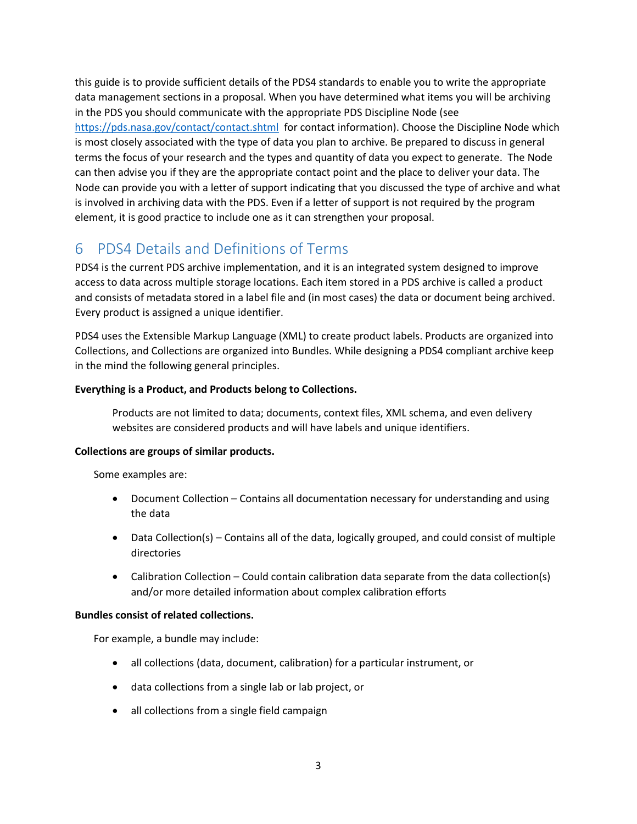this guide is to provide sufficient details of the PDS4 standards to enable you to write the appropriate data management sections in a proposal. When you have determined what items you will be archiving in the PDS you should communicate with the appropriate PDS Discipline Node (see <https://pds.nasa.gov/contact/contact.shtml> for contact information). Choose the Discipline Node which is most closely associated with the type of data you plan to archive. Be prepared to discuss in general terms the focus of your research and the types and quantity of data you expect to generate. The Node can then advise you if they are the appropriate contact point and the place to deliver your data. The Node can provide you with a letter of support indicating that you discussed the type of archive and what is involved in archiving data with the PDS. Even if a letter of support is not required by the program element, it is good practice to include one as it can strengthen your proposal.

## <span id="page-2-0"></span>6 PDS4 Details and Definitions of Terms

PDS4 is the current PDS archive implementation, and it is an integrated system designed to improve access to data across multiple storage locations. Each item stored in a PDS archive is called a product and consists of metadata stored in a label file and (in most cases) the data or document being archived. Every product is assigned a unique identifier.

PDS4 uses the Extensible Markup Language (XML) to create product labels. Products are organized into Collections, and Collections are organized into Bundles. While designing a PDS4 compliant archive keep in the mind the following general principles.

#### **Everything is a Product, and Products belong to Collections.**

Products are not limited to data; documents, context files, XML schema, and even delivery websites are considered products and will have labels and unique identifiers.

#### **Collections are groups of similar products.**

Some examples are:

- Document Collection Contains all documentation necessary for understanding and using the data
- Data Collection(s) Contains all of the data, logically grouped, and could consist of multiple directories
- Calibration Collection Could contain calibration data separate from the data collection(s) and/or more detailed information about complex calibration efforts

#### **Bundles consist of related collections.**

For example, a bundle may include:

- all collections (data, document, calibration) for a particular instrument, or
- data collections from a single lab or lab project, or
- all collections from a single field campaign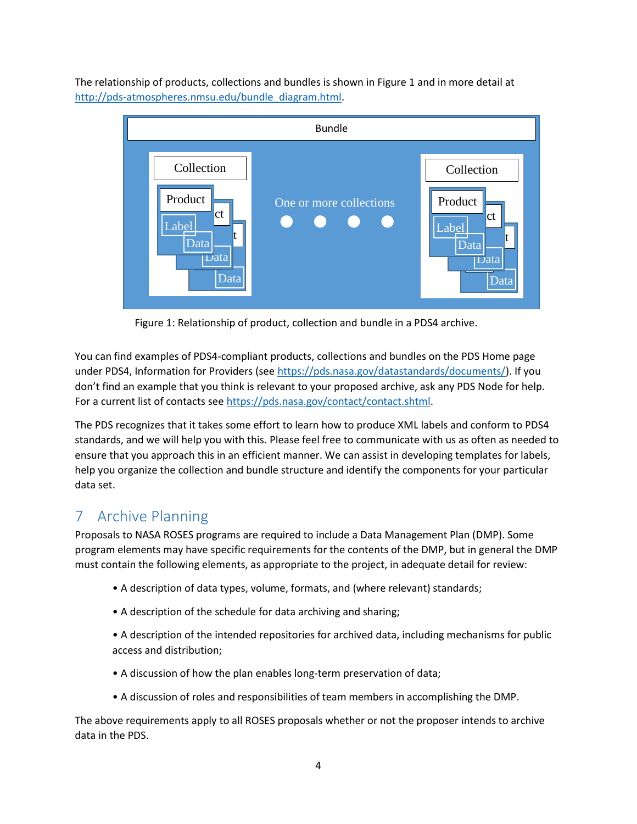The relationship of products, collections and bundles is shown in Figure 1 and in more detail at http://pds-atmospheres.nmsu.edu/bundle\_diagram.html



Figure 1: Relationship of product, collection and bundle in a PDS4 archive.

You can find examples of PDS4-compliant products, collections and bundles on the PDS Home page under PDS4, Information for Providers (see https://pds.nasa.gov/datastandards/documents/). If you don't find an example that you think is relevant to your proposed archive, ask any PDS Node for help. For a current list of contacts se[e https://pds.nasa.gov/contact/contact.shtml.](https://pds.nasa.gov/contact/contact.shtml)

The PDS recognizes that it takes some effort to learn how to produce XML labels and conform to PDS4 standards, and we will help you with this. Please feel free to communicate with us as often as needed to ensure that you approach this in an efficient manner. We can assist in developing templates for labels, help you organize the collection and bundle structure and identify the components for your particular data set.

## <span id="page-3-0"></span>7 Archive Planning

Proposals to NASA ROSES programs are required to include a Data Management Plan (DMP). Some program elements may have specific requirements for the contents of the DMP, but in general the DMP must contain the following elements, as appropriate to the project, in adequate detail for review:

- A description of data types, volume, formats, and (where relevant) standards;
- A description of the schedule for data archiving and sharing;
- A description of the intended repositories for archived data, including mechanisms for public access and distribution;
- A discussion of how the plan enables long-term preservation of data;
- A discussion of roles and responsibilities of team members in accomplishing the DMP.

The above requirements apply to all ROSES proposals whether or not the proposer intends to archive data in the PDS.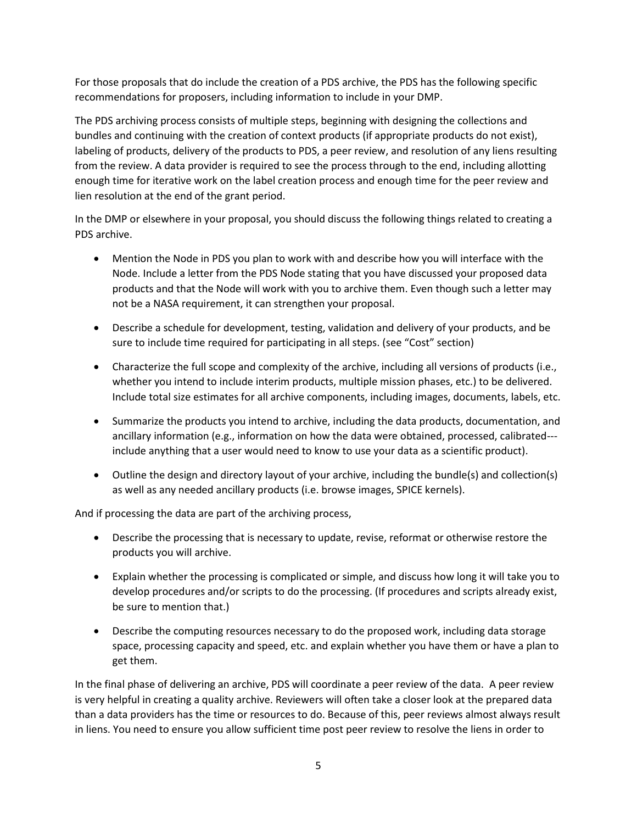For those proposals that do include the creation of a PDS archive, the PDS has the following specific recommendations for proposers, including information to include in your DMP.

The PDS archiving process consists of multiple steps, beginning with designing the collections and bundles and continuing with the creation of context products (if appropriate products do not exist), labeling of products, delivery of the products to PDS, a peer review, and resolution of any liens resulting from the review. A data provider is required to see the process through to the end, including allotting enough time for iterative work on the label creation process and enough time for the peer review and lien resolution at the end of the grant period.

In the DMP or elsewhere in your proposal, you should discuss the following things related to creating a PDS archive.

- Mention the Node in PDS you plan to work with and describe how you will interface with the Node. Include a letter from the PDS Node stating that you have discussed your proposed data products and that the Node will work with you to archive them. Even though such a letter may not be a NASA requirement, it can strengthen your proposal.
- Describe a schedule for development, testing, validation and delivery of your products, and be sure to include time required for participating in all steps. (see "Cost" section)
- Characterize the full scope and complexity of the archive, including all versions of products (i.e., whether you intend to include interim products, multiple mission phases, etc.) to be delivered. Include total size estimates for all archive components, including images, documents, labels, etc.
- Summarize the products you intend to archive, including the data products, documentation, and ancillary information (e.g., information on how the data were obtained, processed, calibrated-- include anything that a user would need to know to use your data as a scientific product).
- Outline the design and directory layout of your archive, including the bundle(s) and collection(s) as well as any needed ancillary products (i.e. browse images, SPICE kernels).

And if processing the data are part of the archiving process,

- Describe the processing that is necessary to update, revise, reformat or otherwise restore the products you will archive.
- Explain whether the processing is complicated or simple, and discuss how long it will take you to develop procedures and/or scripts to do the processing. (If procedures and scripts already exist, be sure to mention that.)
- Describe the computing resources necessary to do the proposed work, including data storage space, processing capacity and speed, etc. and explain whether you have them or have a plan to get them.

In the final phase of delivering an archive, PDS will coordinate a peer review of the data. A peer review is very helpful in creating a quality archive. Reviewers will often take a closer look at the prepared data than a data providers has the time or resources to do. Because of this, peer reviews almost always result in liens. You need to ensure you allow sufficient time post peer review to resolve the liens in order to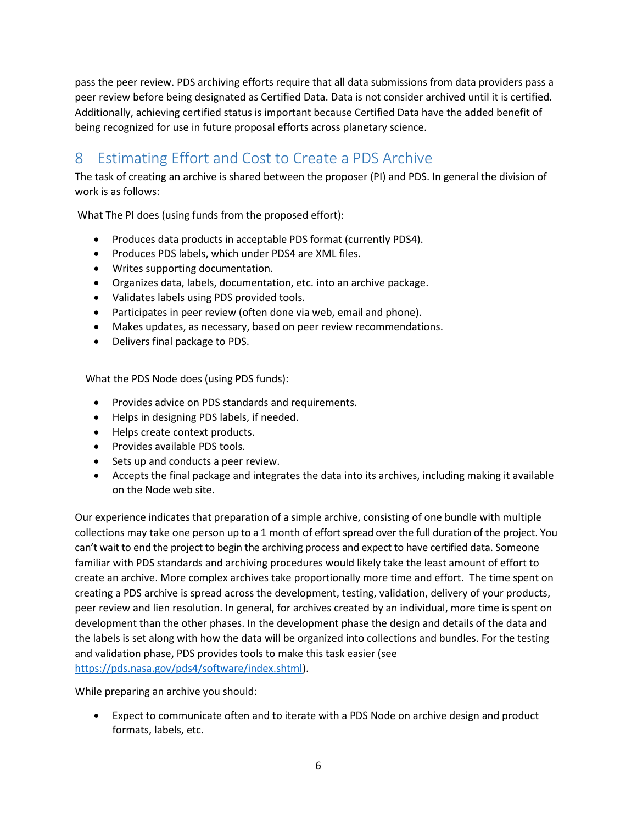pass the peer review. PDS archiving efforts require that all data submissions from data providers pass a peer review before being designated as Certified Data. Data is not consider archived until it is certified. Additionally, achieving certified status is important because Certified Data have the added benefit of being recognized for use in future proposal efforts across planetary science.

## <span id="page-5-0"></span>8 Estimating Effort and Cost to Create a PDS Archive

The task of creating an archive is shared between the proposer (PI) and PDS. In general the division of work is as follows:

What The PI does (using funds from the proposed effort):

- Produces data products in acceptable PDS format (currently PDS4).
- Produces PDS labels, which under PDS4 are XML files.
- Writes supporting documentation.
- Organizes data, labels, documentation, etc. into an archive package.
- Validates labels using PDS provided tools.
- Participates in peer review (often done via web, email and phone).
- Makes updates, as necessary, based on peer review recommendations.
- Delivers final package to PDS.

What the PDS Node does (using PDS funds):

- Provides advice on PDS standards and requirements.
- Helps in designing PDS labels, if needed.
- Helps create context products.
- Provides available PDS tools.
- Sets up and conducts a peer review.
- Accepts the final package and integrates the data into its archives, including making it available on the Node web site.

Our experience indicates that preparation of a simple archive, consisting of one bundle with multiple collections may take one person up to a 1 month of effort spread over the full duration of the project. You can't wait to end the project to begin the archiving process and expect to have certified data. Someone familiar with PDS standards and archiving procedures would likely take the least amount of effort to create an archive. More complex archives take proportionally more time and effort. The time spent on creating a PDS archive is spread across the development, testing, validation, delivery of your products, peer review and lien resolution. In general, for archives created by an individual, more time is spent on development than the other phases. In the development phase the design and details of the data and the labels is set along with how the data will be organized into collections and bundles. For the testing and validation phase, PDS provides tools to make this task easier (see https://pds.nasa.gov/pds4/software/index.shtml).

While preparing an archive you should:

 Expect to communicate often and to iterate with a PDS Node on archive design and product formats, labels, etc.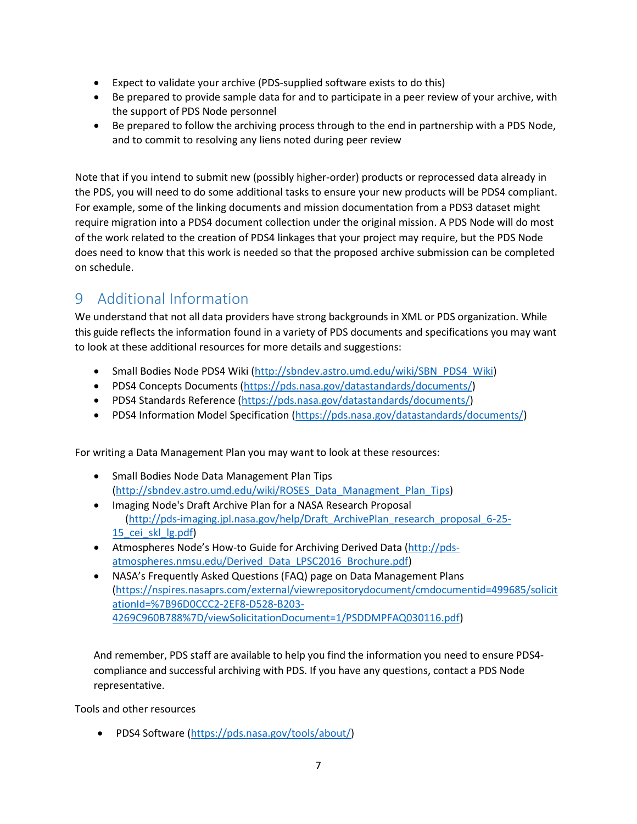- Expect to validate your archive (PDS-supplied software exists to do this)
- Be prepared to provide sample data for and to participate in a peer review of your archive, with the support of PDS Node personnel
- Be prepared to follow the archiving process through to the end in partnership with a PDS Node, and to commit to resolving any liens noted during peer review

Note that if you intend to submit new (possibly higher-order) products or reprocessed data already in the PDS, you will need to do some additional tasks to ensure your new products will be PDS4 compliant. For example, some of the linking documents and mission documentation from a PDS3 dataset might require migration into a PDS4 document collection under the original mission. A PDS Node will do most of the work related to the creation of PDS4 linkages that your project may require, but the PDS Node does need to know that this work is needed so that the proposed archive submission can be completed on schedule.

## <span id="page-6-0"></span>9 Additional Information

We understand that not all data providers have strong backgrounds in XML or PDS organization. While this guide reflects the information found in a variety of PDS documents and specifications you may want to look at these additional resources for more details and suggestions:

- Small Bodies Node PDS4 Wiki [\(http://sbndev.astro.umd.edu/wiki/SBN\\_PDS4\\_Wiki\)](http://sbndev.astro.umd.edu/wiki/SBN_PDS4_Wiki)
- PDS4 Concepts Documents (https://pds.nasa.gov/datastandards/documents/)
- PDS4 Standards Reference (https://pds.nasa.gov/datastandards/documents/)
- PDS4 Information Model Specification (https://pds.nasa.gov/datastandards/documents/)

For writing a Data Management Plan you may want to look at these resources:

- Small Bodies Node Data Management Plan Tips [\(http://sbndev.astro.umd.edu/wiki/ROSES\\_Data\\_Managment\\_Plan\\_Tips\)](http://sbndev.astro.umd.edu/wiki/ROSES_Data_Managment_Plan_Tips)
- Imaging Node's Draft Archive Plan for a NASA Research Proposal [\(http://pds-imaging.jpl.nasa.gov/help/Draft\\_ArchivePlan\\_research\\_proposal\\_6-25-](http://pds-imaging.jpl.nasa.gov/help/Draft_ArchivePlan_research_proposal_6-25-15_cei_skl_lg.pdf) 15 cei skl lg.pdf)
- Atmospheres Node's How-to Guide for Archiving Derived Data [\(http://pds](http://pds-atmospheres.nmsu.edu/Derived_Data_LPSC2016_Brochure.pdf)[atmospheres.nmsu.edu/Derived\\_Data\\_LPSC2016\\_Brochure.pdf\)](http://pds-atmospheres.nmsu.edu/Derived_Data_LPSC2016_Brochure.pdf)
- NASA's Frequently Asked Questions (FAQ) page on Data Management Plans [\(https://nspires.nasaprs.com/external/viewrepositorydocument/cmdocumentid=499685/solicit](https://nspires.nasaprs.com/external/viewrepositorydocument/cmdocumentid=499685/solicitationId=%7B96D0CCC2-2EF8-D528-B203-4269C960B788%7D/viewSolicitationDocument=1/PSDDMPFAQ030116.pdf) [ationId=%7B96D0CCC2-2EF8-D528-B203-](https://nspires.nasaprs.com/external/viewrepositorydocument/cmdocumentid=499685/solicitationId=%7B96D0CCC2-2EF8-D528-B203-4269C960B788%7D/viewSolicitationDocument=1/PSDDMPFAQ030116.pdf) [4269C960B788%7D/viewSolicitationDocument=1/PSDDMPFAQ030116.pdf\)](https://nspires.nasaprs.com/external/viewrepositorydocument/cmdocumentid=499685/solicitationId=%7B96D0CCC2-2EF8-D528-B203-4269C960B788%7D/viewSolicitationDocument=1/PSDDMPFAQ030116.pdf)

And remember, PDS staff are available to help you find the information you need to ensure PDS4 compliance and successful archiving with PDS. If you have any questions, contact a PDS Node representative.

Tools and other resources

• PDS4 Software (https://pds.nasa.gov/tools/about/)